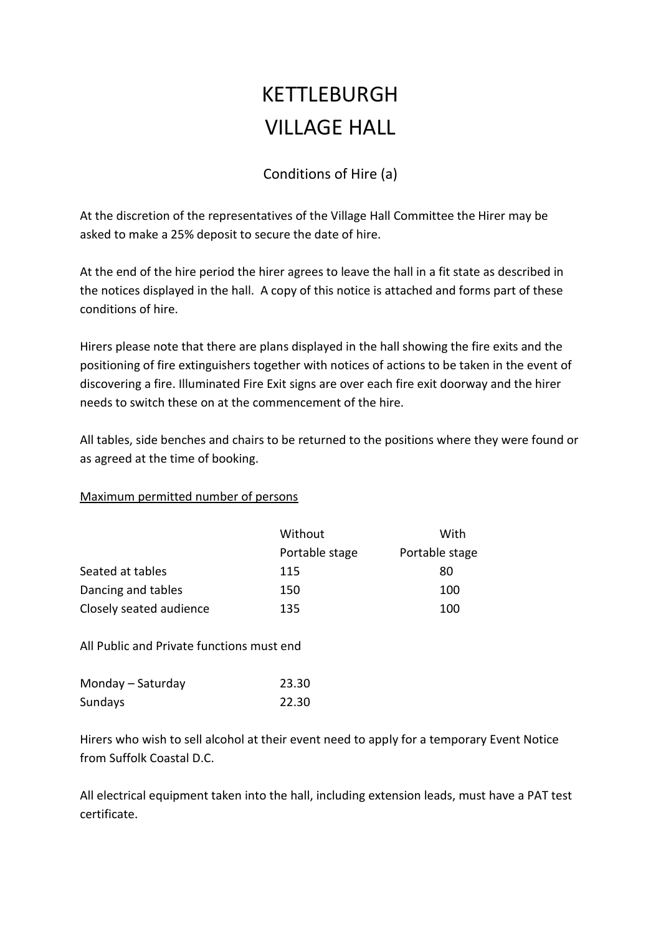## KETTLEBURGH VILLAGE HALL

## Conditions of Hire (a)

At the discretion of the representatives of the Village Hall Committee the Hirer may be asked to make a 25% deposit to secure the date of hire.

At the end of the hire period the hirer agrees to leave the hall in a fit state as described in the notices displayed in the hall. A copy of this notice is attached and forms part of these conditions of hire.

Hirers please note that there are plans displayed in the hall showing the fire exits and the positioning of fire extinguishers together with notices of actions to be taken in the event of discovering a fire. Illuminated Fire Exit signs are over each fire exit doorway and the hirer needs to switch these on at the commencement of the hire.

All tables, side benches and chairs to be returned to the positions where they were found or as agreed at the time of booking.

## Maximum permitted number of persons

|                         | Without        | With           |
|-------------------------|----------------|----------------|
|                         | Portable stage | Portable stage |
| Seated at tables        | 115            | 80             |
| Dancing and tables      | 150            | 100            |
| Closely seated audience | 135            | 100            |

All Public and Private functions must end

| Monday - Saturday | 23.30 |
|-------------------|-------|
| Sundays           | 22.30 |

Hirers who wish to sell alcohol at their event need to apply for a temporary Event Notice from Suffolk Coastal D.C.

All electrical equipment taken into the hall, including extension leads, must have a PAT test certificate.